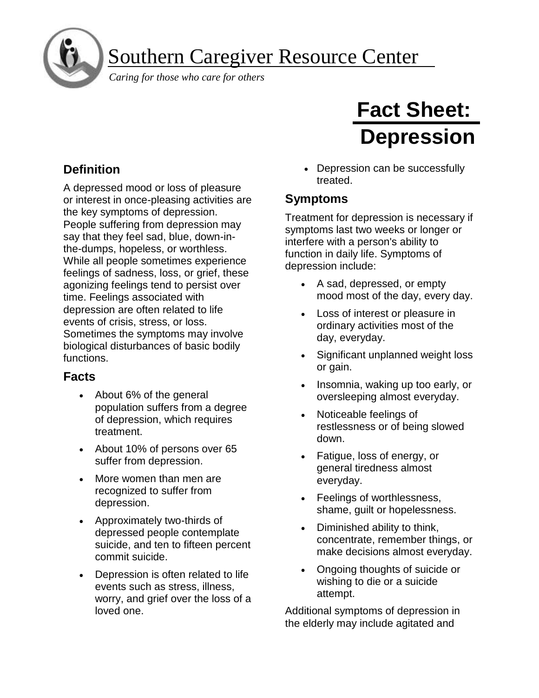Southern Caregiver Resource Center

*Caring for those who care for others*

# **Definition**

í

ì

A depressed mood or loss of pleasure or interest in once-pleasing activities are the key symptoms of depression. People suffering from depression may say that they feel sad, blue, down-inthe-dumps, hopeless, or worthless. While all people sometimes experience feelings of sadness, loss, or grief, these agonizing feelings tend to persist over time. Feelings associated with depression are often related to life events of crisis, stress, or loss. Sometimes the symptoms may involve biological disturbances of basic bodily functions.

#### **Facts**

- About 6% of the general population suffers from a degree of depression, which requires treatment.
- About 10% of persons over 65 suffer from depression.
- More women than men are recognized to suffer from depression.
- Approximately two-thirds of depressed people contemplate suicide, and ten to fifteen percent commit suicide.
- Depression is often related to life events such as stress, illness, worry, and grief over the loss of a loved one.

# **Fact Sheet: Depression**

• Depression can be successfully treated.

### **Symptoms**

Treatment for depression is necessary if symptoms last two weeks or longer or interfere with a person's ability to function in daily life. Symptoms of depression include:

- A sad, depressed, or empty mood most of the day, every day.
- Loss of interest or pleasure in ordinary activities most of the day, everyday.
- Significant unplanned weight loss or gain.
- Insomnia, waking up too early, or oversleeping almost everyday.
- Noticeable feelings of restlessness or of being slowed down.
- Fatigue, loss of energy, or general tiredness almost everyday.
- Feelings of worthlessness, shame, guilt or hopelessness.
- Diminished ability to think, concentrate, remember things, or make decisions almost everyday.
- Ongoing thoughts of suicide or wishing to die or a suicide attempt.

Additional symptoms of depression in the elderly may include agitated and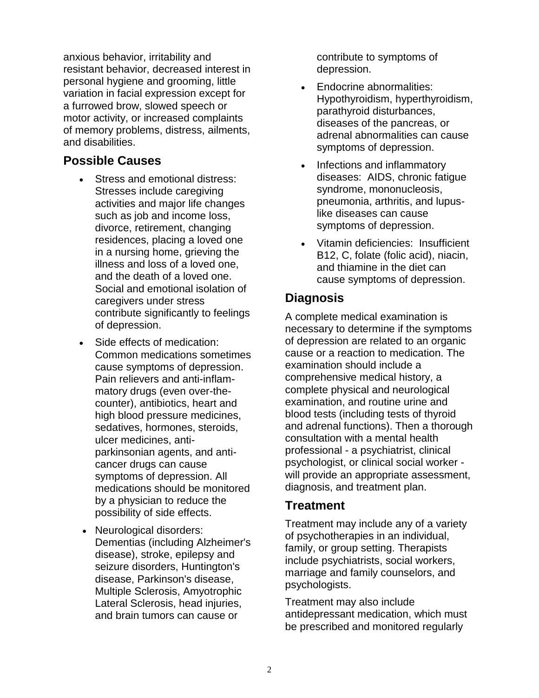anxious behavior, irritability and resistant behavior, decreased interest in personal hygiene and grooming, little variation in facial expression except for a furrowed brow, slowed speech or motor activity, or increased complaints of memory problems, distress, ailments, and disabilities.

#### **Possible Causes**

- Stress and emotional distress: Stresses include caregiving activities and major life changes such as job and income loss, divorce, retirement, changing residences, placing a loved one in a nursing home, grieving the illness and loss of a loved one, and the death of a loved one. Social and emotional isolation of caregivers under stress contribute significantly to feelings of depression.
- Side effects of medication: Common medications sometimes cause symptoms of depression. Pain relievers and anti-inflammatory drugs (even over-thecounter), antibiotics, heart and high blood pressure medicines, sedatives, hormones, steroids, ulcer medicines, antiparkinsonian agents, and anticancer drugs can cause symptoms of depression. All medications should be monitored by a physician to reduce the possibility of side effects.
- Neurological disorders: Dementias (including Alzheimer's disease), stroke, epilepsy and seizure disorders, Huntington's disease, Parkinson's disease, Multiple Sclerosis, Amyotrophic Lateral Sclerosis, head injuries, and brain tumors can cause or

contribute to symptoms of depression.

- Endocrine abnormalities: Hypothyroidism, hyperthyroidism, parathyroid disturbances, diseases of the pancreas, or adrenal abnormalities can cause symptoms of depression.
- Infections and inflammatory diseases: AIDS, chronic fatigue syndrome, mononucleosis, pneumonia, arthritis, and lupuslike diseases can cause symptoms of depression.
- Vitamin deficiencies: Insufficient B12, C, folate (folic acid), niacin, and thiamine in the diet can cause symptoms of depression.

#### **Diagnosis**

A complete medical examination is necessary to determine if the symptoms of depression are related to an organic cause or a reaction to medication. The examination should include a comprehensive medical history, a complete physical and neurological examination, and routine urine and blood tests (including tests of thyroid and adrenal functions). Then a thorough consultation with a mental health professional - a psychiatrist, clinical psychologist, or clinical social worker will provide an appropriate assessment, diagnosis, and treatment plan.

#### **Treatment**

Treatment may include any of a variety of psychotherapies in an individual, family, or group setting. Therapists include psychiatrists, social workers, marriage and family counselors, and psychologists.

Treatment may also include antidepressant medication, which must be prescribed and monitored regularly